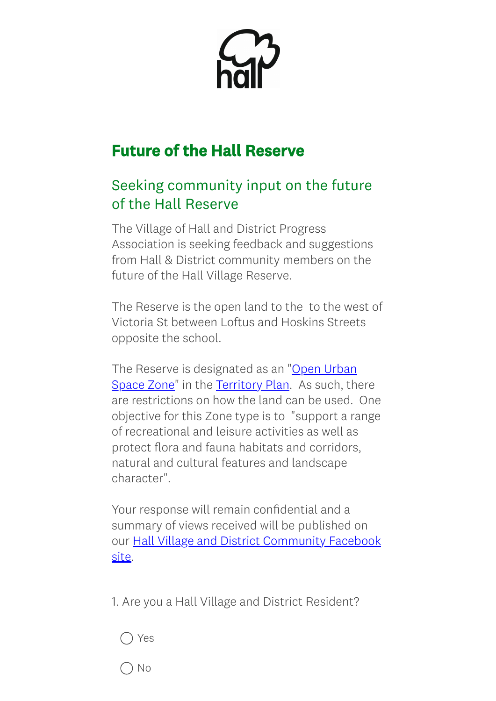## Future of the Hall Reserve

## Seeking community input on the future of the Hall Reserve

The Village of Hall and District Progress Association is seeking feedback and suggestions from Hall & District community members on the future of the Hall Village Reserve.

The Reserve is the open land to the to the west of Victoria St between Loftus and Hoskins Streets opposite the school.

[The Reserve is](https://www.legislation.act.gov.au/DownloadFile/ni/2008-27/copy/118778/PDF/2008-27.PDF) designated as an "Open Urban Space Zone" in the [Territory](https://www.legislation.act.gov.au/ni/2008-27/Current) Plan. As such, there are restrictions on how the land can be used. One objective for this Zone type is to "support a range of recreational and leisure activities as well as protect flora and fauna habitats and corridors, natural and cultural features and landscape character".

Your response will remain confidential and a summary of views received will be published on our Hall Village and District [Community](https://www.facebook.com/groups/969485823140739) Facebook site.

1. Are you a Hall Village and District Resident?



No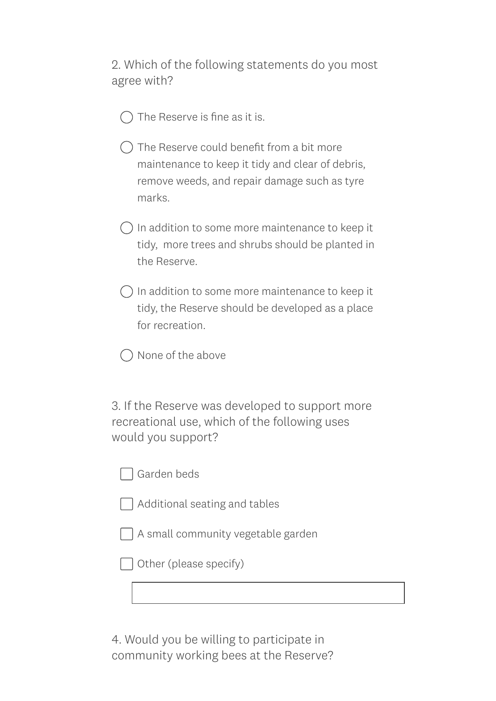2. Which of the following statements do you most agree with?

- The Reserve is fine as it is.
- $\bigcap$  The Reserve could benefit from a bit more maintenance to keep it tidy and clear of debris, remove weeds, and repair damage such as tyre marks.
- $\bigcirc$  In addition to some more maintenance to keep it tidy, more trees and shrubs should be planted in the Reserve.
- $\bigcap$  In addition to some more maintenance to keep it tidy, the Reserve should be developed as a place for recreation.
- None of the above

3. If the Reserve was developed to support more recreational use, which of the following uses would you support?

Garden beds

|  | Additional seating and tables |  |  |  |
|--|-------------------------------|--|--|--|
|--|-------------------------------|--|--|--|

A small community vegetable garden

Other (please specify)

4. Would you be willing to participate in community working bees at the Reserve?